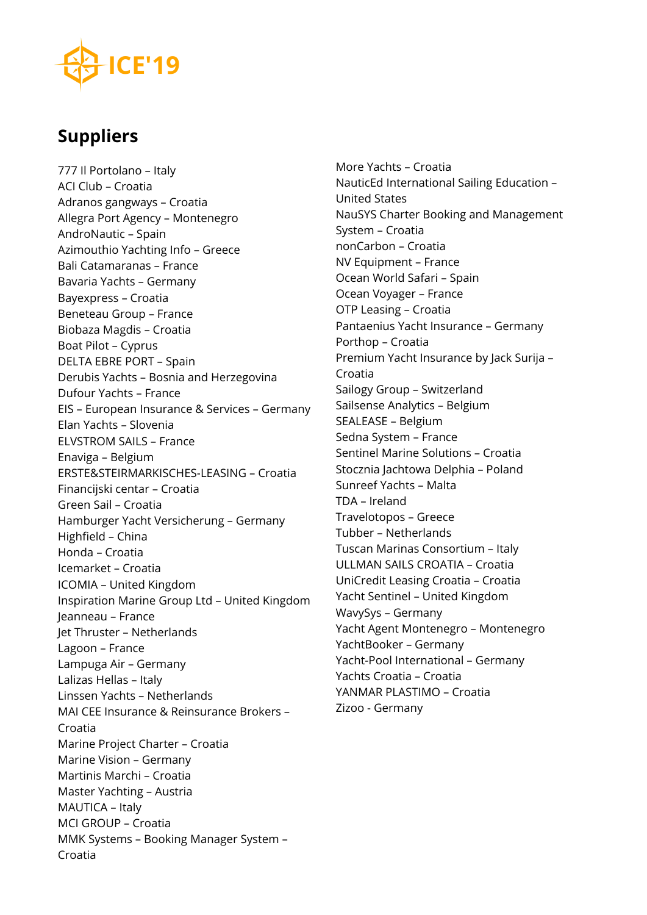# **Suppliers**

777 Il Portolano – Italy ACI Club – Croatia Adranos gangways – Croatia Allegra Port Agency – Montenegro AndroNautic – Spain Azimouthio Yachting Info – Greece Bali Catamaranas – France Bavaria Yachts – Germany Bayexpress – Croatia Beneteau Group – France Biobaza Magdis – Croatia Boat Pilot – Cyprus DELTA EBRE PORT – Spain Derubis Yachts – Bosnia and Herzegovina Dufour Yachts – France EIS – European Insurance & Services – Germany Elan Yachts – Slovenia ELVSTROM SAILS – France Enaviga – Belgium ERSTE&STEIRMARKISCHES-LEASING – Croatia Financijski centar – Croatia Green Sail – Croatia Hamburger Yacht Versicherung – Germany Highfield – China Honda – Croatia Icemarket – Croatia ICOMIA – United Kingdom Inspiration Marine Group Ltd – United Kingdom Jeanneau – France Jet Thruster – Netherlands Lagoon – France Lampuga Air – Germany Lalizas Hellas – Italy Linssen Yachts – Netherlands MAI CEE Insurance & Reinsurance Brokers – Croatia Marine Project Charter – Croatia Marine Vision – Germany Martinis Marchi – Croatia Master Yachting – Austria MAUTICA – Italy MCI GROUP – Croatia MMK Systems – Booking Manager System – Croatia

More Yachts – Croatia NauticEd International Sailing Education – United States NauSYS Charter Booking and Management System – Croatia nonCarbon – Croatia NV Equipment – France Ocean World Safari – Spain Ocean Voyager – France OTP Leasing – Croatia Pantaenius Yacht Insurance – Germany Porthop – Croatia Premium Yacht Insurance by Jack Surija – Croatia Sailogy Group – Switzerland Sailsense Analytics – Belgium SEALEASE – Belgium Sedna System – France Sentinel Marine Solutions – Croatia Stocznia Jachtowa Delphia – Poland Sunreef Yachts – Malta TDA – Ireland Travelotopos – Greece Tubber – Netherlands Tuscan Marinas Consortium – Italy ULLMAN SAILS CROATIA – Croatia UniCredit Leasing Croatia – Croatia Yacht Sentinel – United Kingdom WavySys – Germany Yacht Agent Montenegro – Montenegro YachtBooker – Germany Yacht-Pool International – Germany Yachts Croatia – Croatia YANMAR PLASTIMO – Croatia Zizoo - Germany

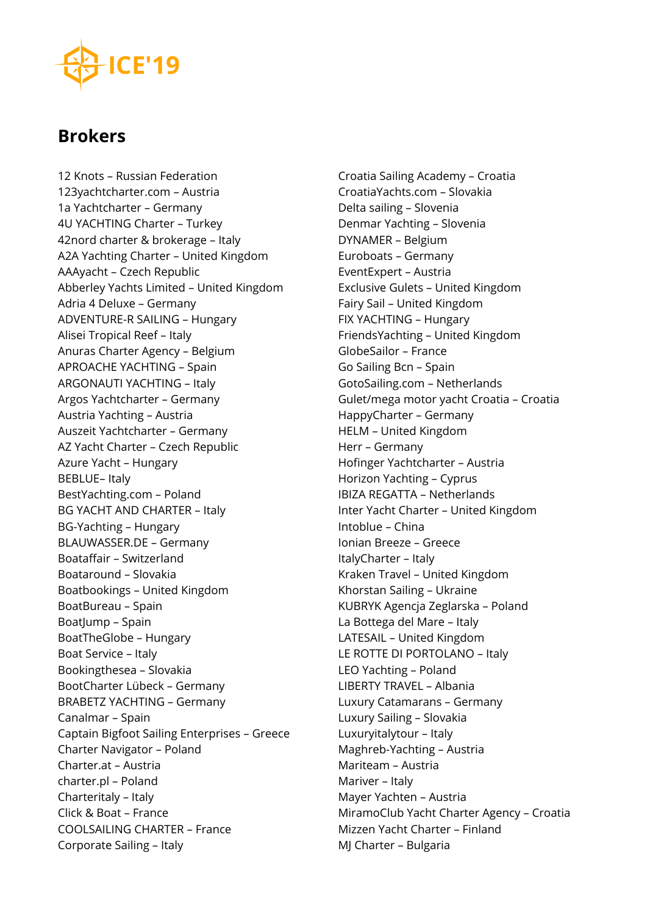## **Brokers**

12 Knots – Russian Federation 123yachtcharter.com – Austria 1a Yachtcharter – Germany 4U YACHTING Charter – Turkey 42nord charter & brokerage – Italy A2A Yachting Charter – United Kingdom AAAyacht – Czech Republic Abberley Yachts Limited – United Kingdom Adria 4 Deluxe – Germany ADVENTURE-R SAILING – Hungary Alisei Tropical Reef – Italy Anuras Charter Agency – Belgium APROACHE YACHTING – Spain ARGONAUTI YACHTING – Italy Argos Yachtcharter – Germany Austria Yachting – Austria Auszeit Yachtcharter – Germany AZ Yacht Charter – Czech Republic Azure Yacht – Hungary BEBLUE– Italy BestYachting.com – Poland BG YACHT AND CHARTER – Italy BG-Yachting – Hungary BLAUWASSER.DE – Germany Boataffair – Switzerland Boataround – Slovakia Boatbookings – United Kingdom BoatBureau – Spain BoatJump – Spain BoatTheGlobe – Hungary Boat Service – Italy Bookingthesea – Slovakia BootCharter Lübeck – Germany BRABETZ YACHTING – Germany Canalmar – Spain Captain Bigfoot Sailing Enterprises – Greece Charter Navigator – Poland Charter.at – Austria charter.pl – Poland Charteritaly – Italy Click & Boat – France COOLSAILING CHARTER – France Corporate Sailing – Italy

Croatia Sailing Academy – Croatia CroatiaYachts.com – Slovakia Delta sailing – Slovenia Denmar Yachting – Slovenia DYNAMER – Belgium Euroboats – Germany EventExpert – Austria Exclusive Gulets – United Kingdom Fairy Sail – United Kingdom FIX YACHTING – Hungary FriendsYachting – United Kingdom GlobeSailor – France Go Sailing Bcn – Spain GotoSailing.com – Netherlands Gulet/mega motor yacht Croatia – Croatia HappyCharter – Germany HELM – United Kingdom Herr – Germany Hofinger Yachtcharter – Austria Horizon Yachting – Cyprus IBIZA REGATTA – Netherlands Inter Yacht Charter – United Kingdom Intoblue – China Ionian Breeze – Greece ItalyCharter – Italy Kraken Travel – United Kingdom Khorstan Sailing – Ukraine KUBRYK Agencja Zeglarska – Poland La Bottega del Mare – Italy LATESAIL – United Kingdom LE ROTTE DI PORTOLANO – Italy LEO Yachting – Poland LIBERTY TRAVEL – Albania Luxury Catamarans – Germany Luxury Sailing – Slovakia Luxuryitalytour – Italy Maghreb-Yachting – Austria Mariteam – Austria Mariver – Italy Mayer Yachten – Austria MiramoClub Yacht Charter Agency – Croatia Mizzen Yacht Charter – Finland MJ Charter – Bulgaria

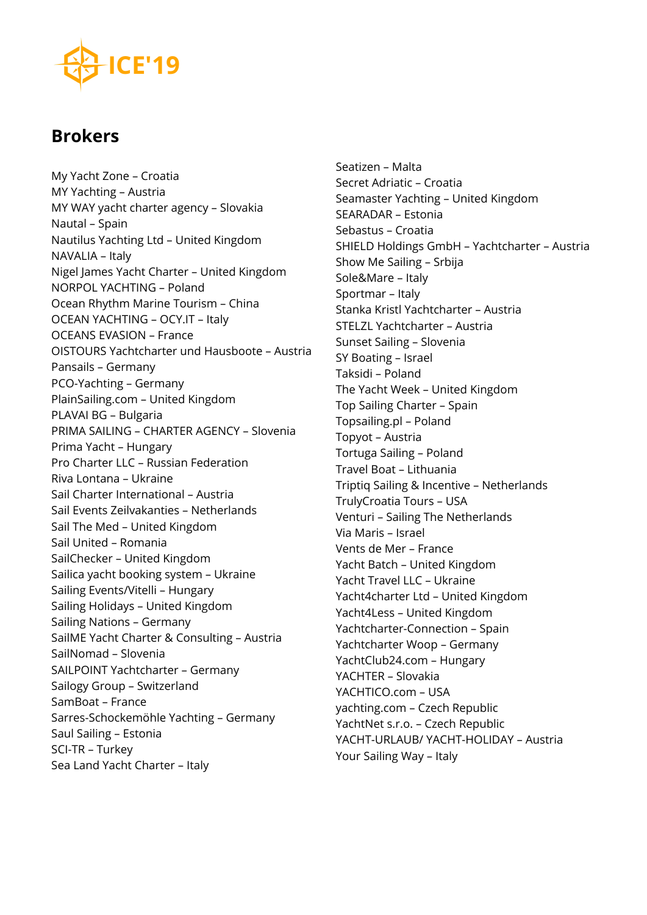## **Brokers**

My Yacht Zone – Croatia MY Yachting – Austria MY WAY yacht charter agency – Slovakia Nautal – Spain Nautilus Yachting Ltd – United Kingdom NAVALIA – Italy Nigel James Yacht Charter – United Kingdom NORPOL YACHTING – Poland Ocean Rhythm Marine Tourism – China OCEAN YACHTING – OCY.IT – Italy OCEANS EVASION – France OISTOURS Yachtcharter und Hausboote – Austria Pansails – Germany PCO-Yachting – Germany PlainSailing.com – United Kingdom PLAVAI BG – Bulgaria PRIMA SAILING – CHARTER AGENCY – Slovenia Prima Yacht – Hungary Pro Charter LLC – Russian Federation Riva Lontana – Ukraine Sail Charter International – Austria Sail Events Zeilvakanties – Netherlands Sail The Med – United Kingdom Sail United – Romania SailChecker – United Kingdom Sailica yacht booking system – Ukraine Sailing Events/Vitelli – Hungary Sailing Holidays – United Kingdom Sailing Nations – Germany SailME Yacht Charter & Consulting – Austria SailNomad – Slovenia SAILPOINT Yachtcharter – Germany Sailogy Group – Switzerland SamBoat – France Sarres-Schockemöhle Yachting – Germany Saul Sailing – Estonia SCI-TR – Turkey Sea Land Yacht Charter – Italy

Seatizen – Malta Secret Adriatic – Croatia Seamaster Yachting – United Kingdom SEARADAR – Estonia Sebastus – Croatia SHIELD Holdings GmbH – Yachtcharter – Austria Show Me Sailing – Srbija Sole&Mare – Italy Sportmar – Italy Stanka Kristl Yachtcharter – Austria STELZL Yachtcharter – Austria Sunset Sailing – Slovenia SY Boating – Israel Taksidi – Poland The Yacht Week – United Kingdom Top Sailing Charter – Spain Topsailing.pl – Poland Topyot – Austria Tortuga Sailing – Poland Travel Boat – Lithuania Triptiq Sailing & Incentive – Netherlands TrulyCroatia Tours – USA Venturi – Sailing The Netherlands Via Maris – Israel Vents de Mer – France Yacht Batch – United Kingdom Yacht Travel LLC – Ukraine Yacht4charter Ltd – United Kingdom Yacht4Less – United Kingdom Yachtcharter-Connection – Spain Yachtcharter Woop – Germany YachtClub24.com – Hungary YACHTER – Slovakia YACHTICO.com – USA yachting.com – Czech Republic YachtNet s.r.o. – Czech Republic YACHT-URLAUB/ YACHT-HOLIDAY – Austria Your Sailing Way – Italy

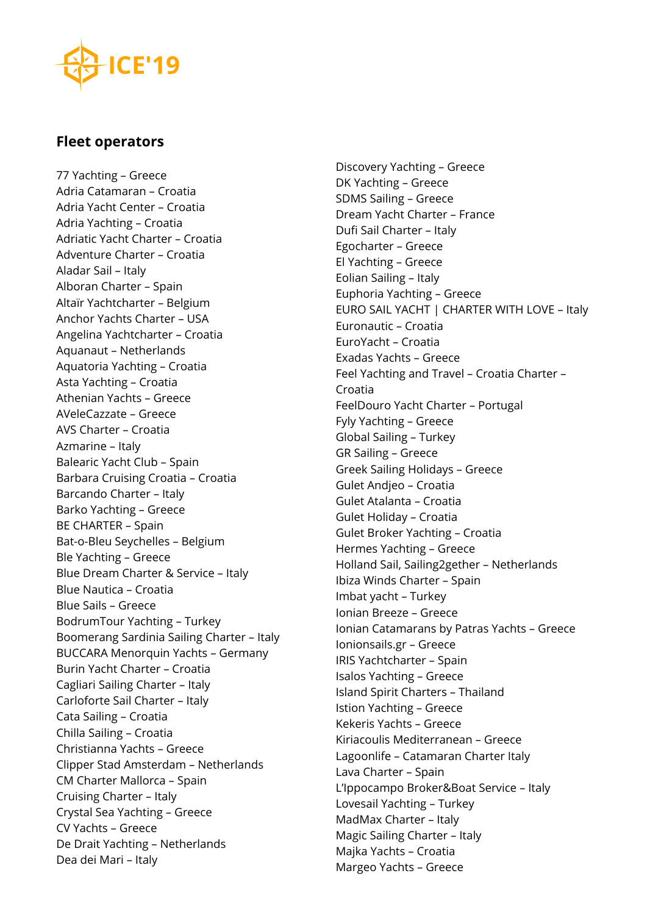#### **Fleet operators**

77 Yachting – Greece Adria Catamaran – Croatia Adria Yacht Center – Croatia Adria Yachting – Croatia Adriatic Yacht Charter – Croatia Adventure Charter – Croatia Aladar Sail – Italy Alboran Charter – Spain Altaïr Yachtcharter – Belgium Anchor Yachts Charter – USA Angelina Yachtcharter – Croatia Aquanaut – Netherlands Aquatoria Yachting – Croatia Asta Yachting – Croatia Athenian Yachts – Greece AVeleCazzate – Greece AVS Charter – Croatia Azmarine – Italy Balearic Yacht Club – Spain Barbara Cruising Croatia – Croatia Barcando Charter – Italy Barko Yachting – Greece BE CHARTER – Spain Bat-o-Bleu Seychelles – Belgium Ble Yachting – Greece Blue Dream Charter & Service – Italy Blue Nautica – Croatia Blue Sails – Greece BodrumTour Yachting – Turkey Boomerang Sardinia Sailing Charter – Italy BUCCARA Menorquin Yachts – Germany Burin Yacht Charter – Croatia Cagliari Sailing Charter – Italy Carloforte Sail Charter – Italy Cata Sailing – Croatia Chilla Sailing – Croatia Christianna Yachts – Greece Clipper Stad Amsterdam – Netherlands CM Charter Mallorca – Spain Cruising Charter – Italy Crystal Sea Yachting – Greece CV Yachts – Greece De Drait Yachting – Netherlands Dea dei Mari – Italy

Discovery Yachting – Greece DK Yachting – Greece SDMS Sailing – Greece Dream Yacht Charter – France Dufi Sail Charter – Italy Egocharter – Greece El Yachting – Greece Eolian Sailing – Italy Euphoria Yachting – Greece EURO SAIL YACHT | CHARTER WITH LOVE – Italy Euronautic – Croatia EuroYacht – Croatia Exadas Yachts – Greece Feel Yachting and Travel – Croatia Charter – Croatia FeelDouro Yacht Charter – Portugal Fyly Yachting – Greece Global Sailing – Turkey GR Sailing – Greece Greek Sailing Holidays – Greece Gulet Andjeo – Croatia Gulet Atalanta – Croatia Gulet Holiday – Croatia Gulet Broker Yachting – Croatia Hermes Yachting – Greece Holland Sail, Sailing2gether – Netherlands Ibiza Winds Charter – Spain Imbat yacht – Turkey Ionian Breeze – Greece Ionian Catamarans by Patras Yachts – Greece Ionionsails.gr – Greece IRIS Yachtcharter – Spain Isalos Yachting – Greece Island Spirit Charters – Thailand Istion Yachting – Greece Kekeris Yachts – Greece Kiriacoulis Mediterranean – Greece Lagoonlife – Catamaran Charter Italy Lava Charter – Spain L'Ippocampo Broker&Boat Service – Italy Lovesail Yachting – Turkey MadMax Charter – Italy Magic Sailing Charter – Italy Majka Yachts – Croatia Margeo Yachts – Greece